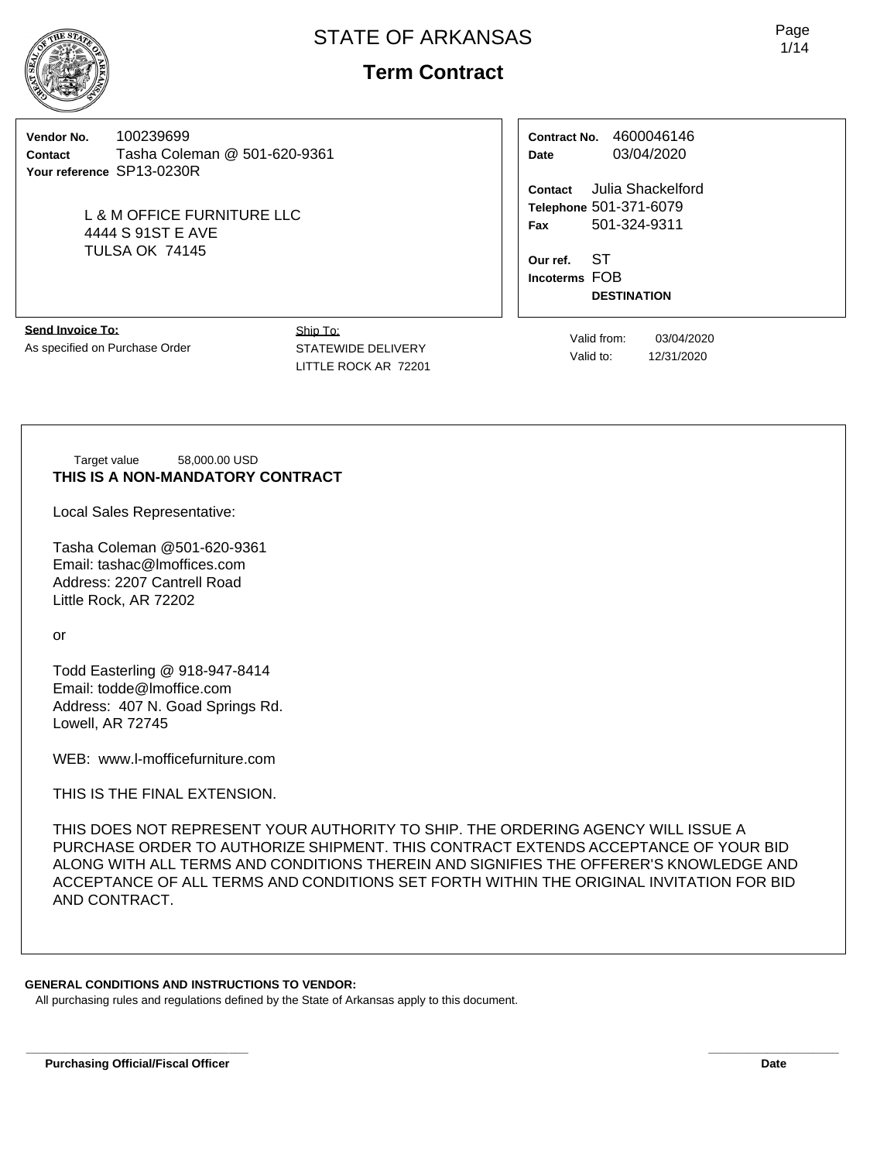

# **Term Contract**

**Vendor No.** 100239699 **Contact** Tasha Coleman @ 501-620-9361 **Your reference** SP13-0230R

> L & M OFFICE FURNITURE LLC 4444 S 91ST E AVE TULSA OK 74145

**Contract No.** 4600046146 **Date** 03/04/2020

**Contact** Julia Shackelford **Telephone** 501-371-6079 **Fax** 501-324-9311

**Our ref.** ST **Incoterms** FOB **DESTINATION**

**Send Invoice To:** As specified on Purchase Order

Ship To: STATEWIDE DELIVERY LITTLE ROCK AR 72201

Valid from: 03/04/2020 Valid to: 12/31/2020

Target value 58,000.00 USD **THIS IS A NON-MANDATORY CONTRACT**

Local Sales Representative:

Tasha Coleman @501-620-9361 Email: tashac@lmoffices.com Address: 2207 Cantrell Road Little Rock, AR 72202

or

Todd Easterling @ 918-947-8414 Email: todde@lmoffice.com Address: 407 N. Goad Springs Rd. Lowell, AR 72745

WEB: www.l-mofficefurniture.com

THIS IS THE FINAL EXTENSION.

THIS DOES NOT REPRESENT YOUR AUTHORITY TO SHIP. THE ORDERING AGENCY WILL ISSUE A PURCHASE ORDER TO AUTHORIZE SHIPMENT. THIS CONTRACT EXTENDS ACCEPTANCE OF YOUR BID ALONG WITH ALL TERMS AND CONDITIONS THEREIN AND SIGNIFIES THE OFFERER'S KNOWLEDGE AND ACCEPTANCE OF ALL TERMS AND CONDITIONS SET FORTH WITHIN THE ORIGINAL INVITATION FOR BID AND CONTRACT.

**\_\_\_\_\_\_\_\_\_\_\_\_\_\_\_\_\_\_\_\_\_\_\_\_\_\_\_\_\_\_\_\_\_\_ \_\_\_\_\_\_\_\_\_\_\_\_\_\_\_\_\_\_\_\_**

#### **GENERAL CONDITIONS AND INSTRUCTIONS TO VENDOR:**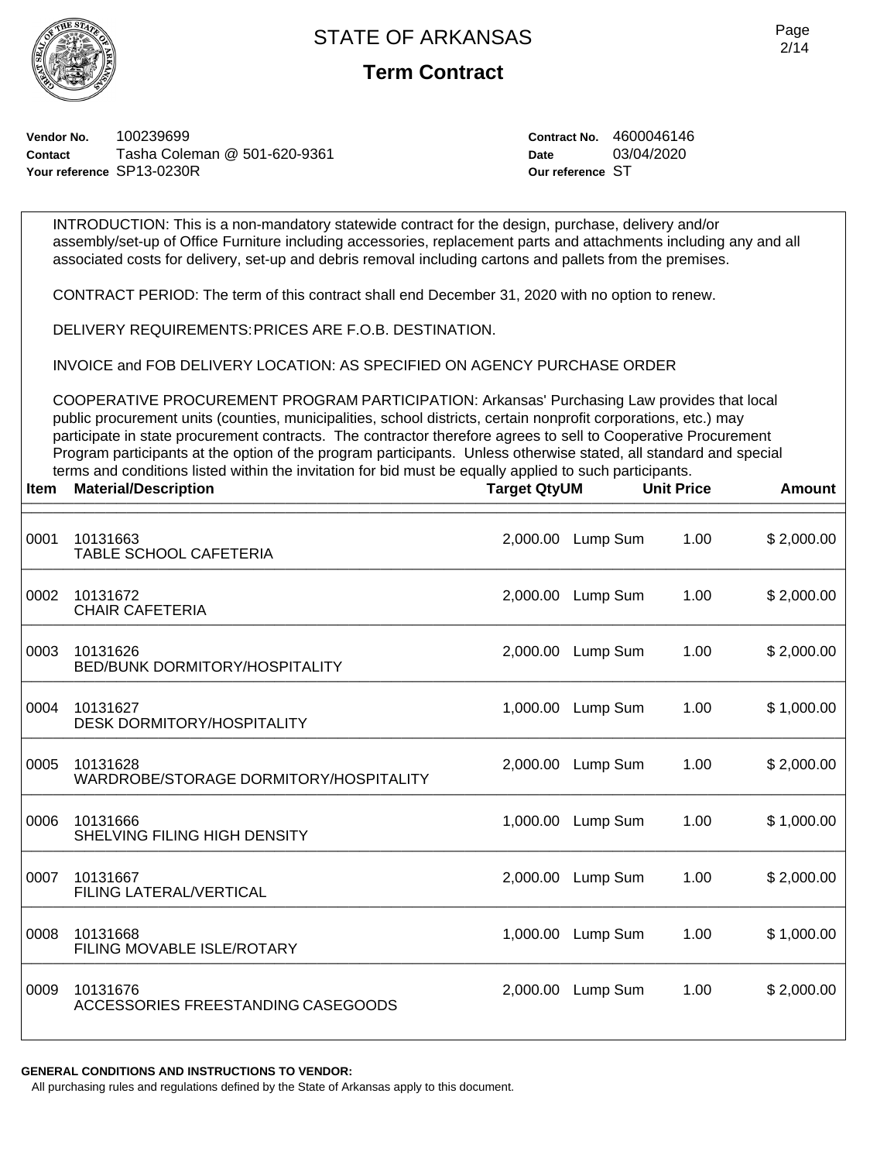INTRODUCTION: This is a non-mandatory statewide contract for the design, purchase, delivery and/or



### **Term Contract**

assembly/set-up of Office Furniture including accessories, replacement parts and attachments including any and all

**Vendor No.** 100239699 **Contact** Tasha Coleman @ 501-620-9361 **Your reference** SP13-0230R

**Contract No.** 4600046146 **Date** 03/04/2020 **Our reference** ST

associated costs for delivery, set-up and debris removal including cartons and pallets from the premises. CONTRACT PERIOD: The term of this contract shall end December 31, 2020 with no option to renew. DELIVERY REQUIREMENTS:PRICES ARE F.O.B. DESTINATION. INVOICE and FOB DELIVERY LOCATION: AS SPECIFIED ON AGENCY PURCHASE ORDER COOPERATIVE PROCUREMENT PROGRAM PARTICIPATION: Arkansas' Purchasing Law provides that local public procurement units (counties, municipalities, school districts, certain nonprofit corporations, etc.) may participate in state procurement contracts. The contractor therefore agrees to sell to Cooperative Procurement Program participants at the option of the program participants. Unless otherwise stated, all standard and special terms and conditions listed within the invitation for bid must be equally applied to such participants. **Item Material/Description Target QtyUM Unit Price Amount**  $\frac{1}{2}$  arger write the contribution of the contribution of the contribution of the contribution of the contribution of the contribution of the contribution of the contribution of the contribution of the contribution of \_\_\_\_\_\_\_\_\_\_\_\_\_\_\_\_\_\_\_\_\_\_\_\_\_\_\_\_\_\_\_\_\_\_\_\_\_\_\_\_\_\_\_\_\_\_\_\_\_\_\_\_\_\_\_\_\_\_\_\_\_\_\_\_\_\_\_\_\_\_\_\_\_\_\_\_\_\_ 0001 10131663 2,000.00 Lump Sum 1.00 \$ 2,000.00 TABLE SCHOOL CAFETERIA \_\_\_\_\_\_\_\_\_\_\_\_\_\_\_\_\_\_\_\_\_\_\_\_\_\_\_\_\_\_\_\_\_\_\_\_\_\_\_\_\_\_\_\_\_\_\_\_\_\_\_\_\_\_\_\_\_\_\_\_\_\_\_\_\_\_\_\_\_\_\_\_\_\_\_\_\_\_ 0002 10131672 2,000.00 Lump Sum 1.00 \$ 2,000.00 CHAIR CAFETERIA \_\_\_\_\_\_\_\_\_\_\_\_\_\_\_\_\_\_\_\_\_\_\_\_\_\_\_\_\_\_\_\_\_\_\_\_\_\_\_\_\_\_\_\_\_\_\_\_\_\_\_\_\_\_\_\_\_\_\_\_\_\_\_\_\_\_\_\_\_\_\_\_\_\_\_\_\_\_ 0003 10131626 2,000.00 Lump Sum 1.00 \$ 2,000.00 BED/BUNK DORMITORY/HOSPITALITY \_\_\_\_\_\_\_\_\_\_\_\_\_\_\_\_\_\_\_\_\_\_\_\_\_\_\_\_\_\_\_\_\_\_\_\_\_\_\_\_\_\_\_\_\_\_\_\_\_\_\_\_\_\_\_\_\_\_\_\_\_\_\_\_\_\_\_\_\_\_\_\_\_\_\_\_\_\_ 0004 10131627 1,000.00 Lump Sum 1.00 \$ 1,000.00 DESK DORMITORY/HOSPITALITY \_\_\_\_\_\_\_\_\_\_\_\_\_\_\_\_\_\_\_\_\_\_\_\_\_\_\_\_\_\_\_\_\_\_\_\_\_\_\_\_\_\_\_\_\_\_\_\_\_\_\_\_\_\_\_\_\_\_\_\_\_\_\_\_\_\_\_\_\_\_\_\_\_\_\_\_\_\_ 0005 10131628 2,000.00 Lump Sum 1.00 \$ 2,000.00 WARDROBE/STORAGE DORMITORY/HOSPITALITY \_\_\_\_\_\_\_\_\_\_\_\_\_\_\_\_\_\_\_\_\_\_\_\_\_\_\_\_\_\_\_\_\_\_\_\_\_\_\_\_\_\_\_\_\_\_\_\_\_\_\_\_\_\_\_\_\_\_\_\_\_\_\_\_\_\_\_\_\_\_\_\_\_\_\_\_\_\_ 0006 10131666 1,000.00 Lump Sum 1.00 \$ 1,000.00 SHELVING FILING HIGH DENSITY \_\_\_\_\_\_\_\_\_\_\_\_\_\_\_\_\_\_\_\_\_\_\_\_\_\_\_\_\_\_\_\_\_\_\_\_\_\_\_\_\_\_\_\_\_\_\_\_\_\_\_\_\_\_\_\_\_\_\_\_\_\_\_\_\_\_\_\_\_\_\_\_\_\_\_\_\_\_ 0007 10131667 2,000.00 Lump Sum 1.00 \$ 2,000.00 FILING LATERAL/VERTICAL \_\_\_\_\_\_\_\_\_\_\_\_\_\_\_\_\_\_\_\_\_\_\_\_\_\_\_\_\_\_\_\_\_\_\_\_\_\_\_\_\_\_\_\_\_\_\_\_\_\_\_\_\_\_\_\_\_\_\_\_\_\_\_\_\_\_\_\_\_\_\_\_\_\_\_\_\_\_ 0008 10131668 1,000.00 Lump Sum 1.00 \$ 1,000.00 FILING MOVABLE ISLE/ROTARY \_\_\_\_\_\_\_\_\_\_\_\_\_\_\_\_\_\_\_\_\_\_\_\_\_\_\_\_\_\_\_\_\_\_\_\_\_\_\_\_\_\_\_\_\_\_\_\_\_\_\_\_\_\_\_\_\_\_\_\_\_\_\_\_\_\_\_\_\_\_\_\_\_\_\_\_\_\_ 0009 10131676 2,000.00 Lump Sum 1.00 \$ 2,000.00 ACCESSORIES FREESTANDING CASEGOODS

**GENERAL CONDITIONS AND INSTRUCTIONS TO VENDOR:**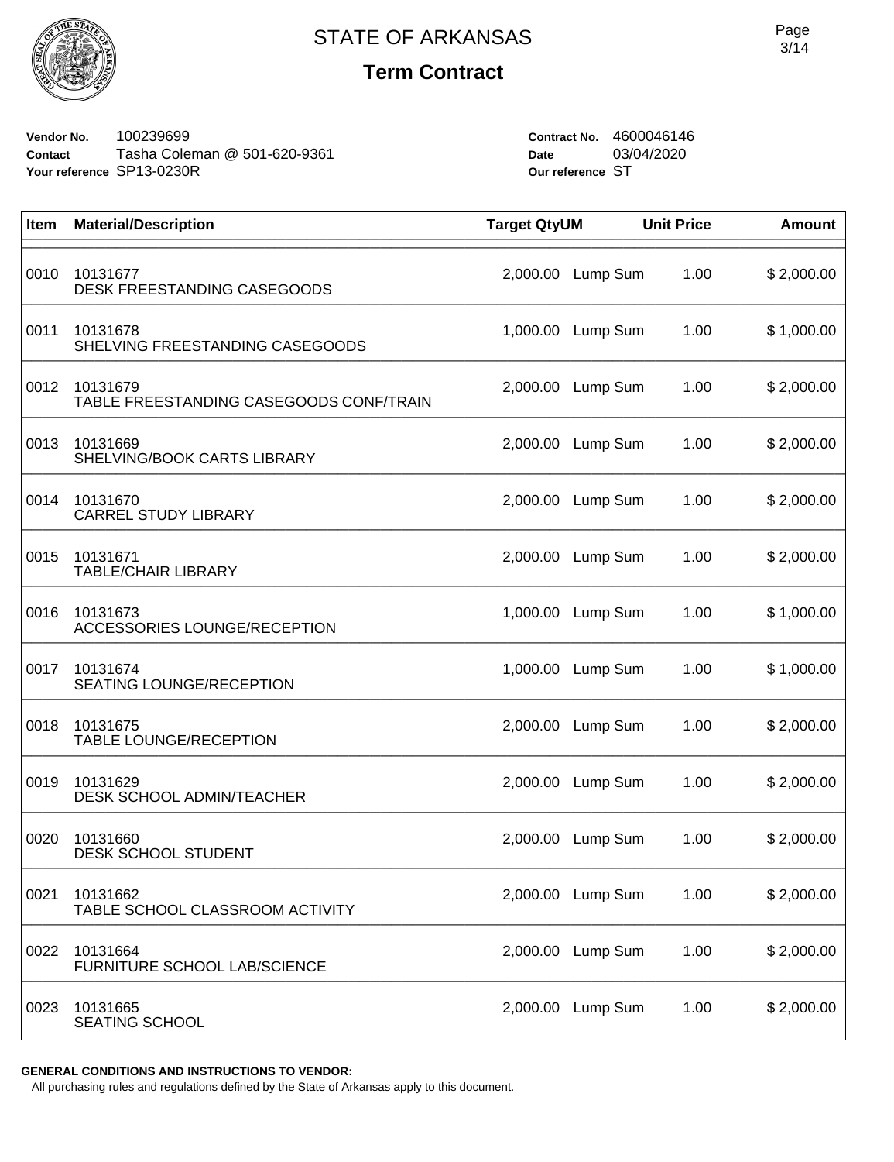

## **Term Contract**

**Vendor No.** 100239699 **Contact** Tasha Coleman @ 501-620-9361 **Your reference** SP13-0230R

**Contract No.** 4600046146 **Date** 03/04/2020 **Our reference** ST

| Item | <b>Material/Description</b>                         | <b>Target QtyUM</b> |          | <b>Unit Price</b> | <b>Amount</b> |
|------|-----------------------------------------------------|---------------------|----------|-------------------|---------------|
| 0010 | 10131677<br>DESK FREESTANDING CASEGOODS             | 2,000.00            | Lump Sum | 1.00              | \$2,000.00    |
| 0011 | 10131678<br>SHELVING FREESTANDING CASEGOODS         | 1,000.00            | Lump Sum | 1.00              | \$1,000.00    |
| 0012 | 10131679<br>TABLE FREESTANDING CASEGOODS CONF/TRAIN | 2,000.00            | Lump Sum | 1.00              | \$2,000.00    |
| 0013 | 10131669<br>SHELVING/BOOK CARTS LIBRARY             | 2,000.00            | Lump Sum | 1.00              | \$2,000.00    |
| 0014 | 10131670<br><b>CARREL STUDY LIBRARY</b>             | 2,000.00            | Lump Sum | 1.00              | \$2,000.00    |
| 0015 | 10131671<br><b>TABLE/CHAIR LIBRARY</b>              | 2,000.00            | Lump Sum | 1.00              | \$2,000.00    |
| 0016 | 10131673<br>ACCESSORIES LOUNGE/RECEPTION            | 1,000.00            | Lump Sum | 1.00              | \$1,000.00    |
| 0017 | 10131674<br>SEATING LOUNGE/RECEPTION                | 1,000.00            | Lump Sum | 1.00              | \$1,000.00    |
| 0018 | 10131675<br>TABLE LOUNGE/RECEPTION                  | 2,000.00            | Lump Sum | 1.00              | \$2,000.00    |
| 0019 | 10131629<br>DESK SCHOOL ADMIN/TEACHER               | 2,000.00            | Lump Sum | 1.00              | \$2,000.00    |
| 0020 | 10131660<br>DESK SCHOOL STUDENT                     | 2,000.00            | Lump Sum | 1.00              | \$2,000.00    |
| 0021 | 10131662<br>TABLE SCHOOL CLASSROOM ACTIVITY         | 2,000.00            | Lump Sum | 1.00              | \$2,000.00    |
| 0022 | 10131664<br>FURNITURE SCHOOL LAB/SCIENCE            | 2,000.00            | Lump Sum | 1.00              | \$2,000.00    |
| 0023 | 10131665<br><b>SEATING SCHOOL</b>                   | 2,000.00            | Lump Sum | 1.00              | \$2,000.00    |

**GENERAL CONDITIONS AND INSTRUCTIONS TO VENDOR:**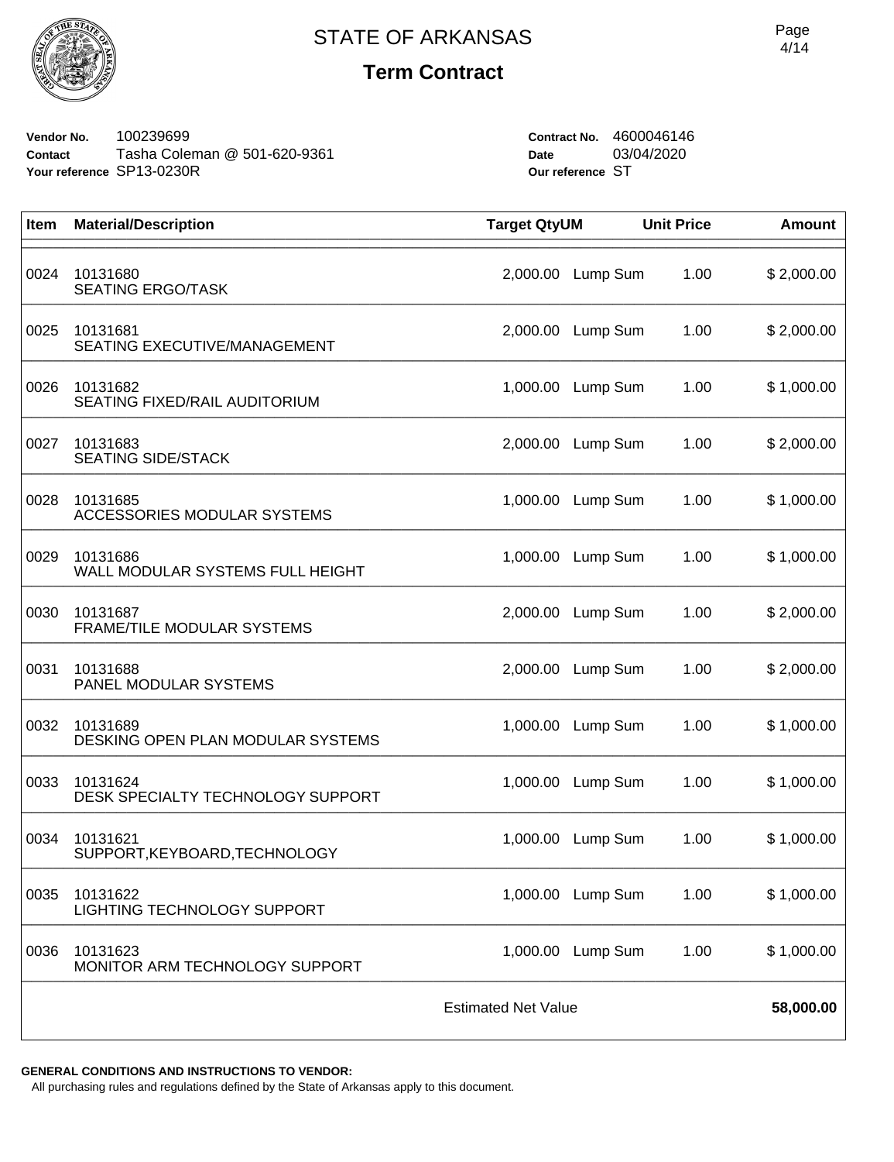

## **Term Contract**

**Vendor No.** 100239699 **Contact** Tasha Coleman @ 501-620-9361 **Your reference** SP13-0230R

**Contract No.** 4600046146 **Date** 03/04/2020 **Our reference** ST

| Item                       | <b>Material/Description</b>                    | <b>Target QtyUM</b> |                   | <b>Unit Price</b> | <b>Amount</b> |
|----------------------------|------------------------------------------------|---------------------|-------------------|-------------------|---------------|
| 0024                       | 10131680<br><b>SEATING ERGO/TASK</b>           | 2,000.00            | Lump Sum          | 1.00              | \$2,000.00    |
| 0025                       | 10131681<br>SEATING EXECUTIVE/MANAGEMENT       | 2,000.00            | Lump Sum          | 1.00              | \$2,000.00    |
| 0026                       | 10131682<br>SEATING FIXED/RAIL AUDITORIUM      | 1,000.00            | Lump Sum          | 1.00              | \$1,000.00    |
| 0027                       | 10131683<br><b>SEATING SIDE/STACK</b>          | 2,000.00            | Lump Sum          | 1.00              | \$2,000.00    |
| 0028                       | 10131685<br><b>ACCESSORIES MODULAR SYSTEMS</b> | 1,000.00            | Lump Sum          | 1.00              | \$1,000.00    |
| 0029                       | 10131686<br>WALL MODULAR SYSTEMS FULL HEIGHT   | 1,000.00            | Lump Sum          | 1.00              | \$1,000.00    |
| 0030                       | 10131687<br>FRAME/TILE MODULAR SYSTEMS         | 2,000.00            | Lump Sum          | 1.00              | \$2,000.00    |
| 0031                       | 10131688<br>PANEL MODULAR SYSTEMS              | 2,000.00            | Lump Sum          | 1.00              | \$2,000.00    |
| 0032                       | 10131689<br>DESKING OPEN PLAN MODULAR SYSTEMS  | 1,000.00            | Lump Sum          | 1.00              | \$1,000.00    |
| 0033                       | 10131624<br>DESK SPECIALTY TECHNOLOGY SUPPORT  | 1,000.00            | Lump Sum          | 1.00              | \$1,000.00    |
| 0034                       | 10131621<br>SUPPORT, KEYBOARD, TECHNOLOGY      | 1,000.00            | Lump Sum          | 1.00              | \$1,000.00    |
| 0035                       | 10131622<br>LIGHTING TECHNOLOGY SUPPORT        |                     | 1,000.00 Lump Sum | 1.00              | \$1,000.00    |
| 0036                       | 10131623<br>MONITOR ARM TECHNOLOGY SUPPORT     | 1,000.00            | Lump Sum          | 1.00              | \$1,000.00    |
| <b>Estimated Net Value</b> |                                                |                     |                   |                   | 58,000.00     |

**GENERAL CONDITIONS AND INSTRUCTIONS TO VENDOR:**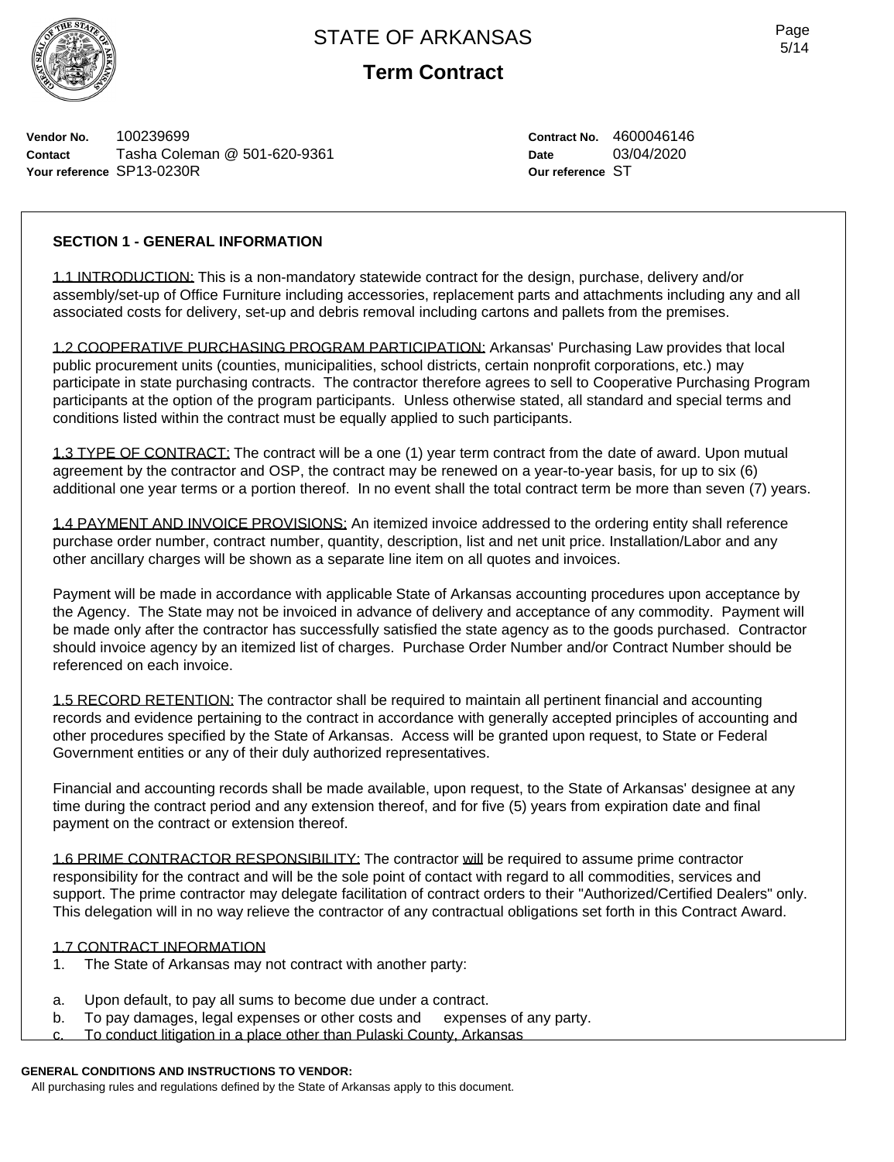

**Term Contract**

**Vendor No.** 100239699 **Contact** Tasha Coleman @ 501-620-9361 **Your reference** SP13-0230R

**Contract No.** 4600046146 **Date** 03/04/2020 **Our reference** ST

#### **SECTION 1 - GENERAL INFORMATION**

1.1 INTRODUCTION: This is a non-mandatory statewide contract for the design, purchase, delivery and/or assembly/set-up of Office Furniture including accessories, replacement parts and attachments including any and all associated costs for delivery, set-up and debris removal including cartons and pallets from the premises.

1.2 COOPERATIVE PURCHASING PROGRAM PARTICIPATION: Arkansas' Purchasing Law provides that local public procurement units (counties, municipalities, school districts, certain nonprofit corporations, etc.) may participate in state purchasing contracts. The contractor therefore agrees to sell to Cooperative Purchasing Program participants at the option of the program participants. Unless otherwise stated, all standard and special terms and conditions listed within the contract must be equally applied to such participants.

1.3 TYPE OF CONTRACT: The contract will be a one (1) year term contract from the date of award. Upon mutual agreement by the contractor and OSP, the contract may be renewed on a year-to-year basis, for up to six (6) additional one year terms or a portion thereof. In no event shall the total contract term be more than seven (7) years.

1.4 PAYMENT AND INVOICE PROVISIONS: An itemized invoice addressed to the ordering entity shall reference purchase order number, contract number, quantity, description, list and net unit price. Installation/Labor and any other ancillary charges will be shown as a separate line item on all quotes and invoices.

Payment will be made in accordance with applicable State of Arkansas accounting procedures upon acceptance by the Agency. The State may not be invoiced in advance of delivery and acceptance of any commodity. Payment will be made only after the contractor has successfully satisfied the state agency as to the goods purchased. Contractor should invoice agency by an itemized list of charges. Purchase Order Number and/or Contract Number should be referenced on each invoice.

1.5 RECORD RETENTION: The contractor shall be required to maintain all pertinent financial and accounting records and evidence pertaining to the contract in accordance with generally accepted principles of accounting and other procedures specified by the State of Arkansas. Access will be granted upon request, to State or Federal Government entities or any of their duly authorized representatives.

Financial and accounting records shall be made available, upon request, to the State of Arkansas' designee at any time during the contract period and any extension thereof, and for five (5) years from expiration date and final payment on the contract or extension thereof.

1.6 PRIME CONTRACTOR RESPONSIBILITY: The contractor will be required to assume prime contractor responsibility for the contract and will be the sole point of contact with regard to all commodities, services and support. The prime contractor may delegate facilitation of contract orders to their "Authorized/Certified Dealers" only. This delegation will in no way relieve the contractor of any contractual obligations set forth in this Contract Award.

#### 1.7 CONTRACT INFORMATION

- 1. The State of Arkansas may not contract with another party:
- a. Upon default, to pay all sums to become due under a contract.
- b. To pay damages, legal expenses or other costs and expenses of any party.
- To conduct litigation in a place other than Pulaski County, Arkansas

#### **GENERAL CONDITIONS AND INSTRUCTIONS TO VENDOR:**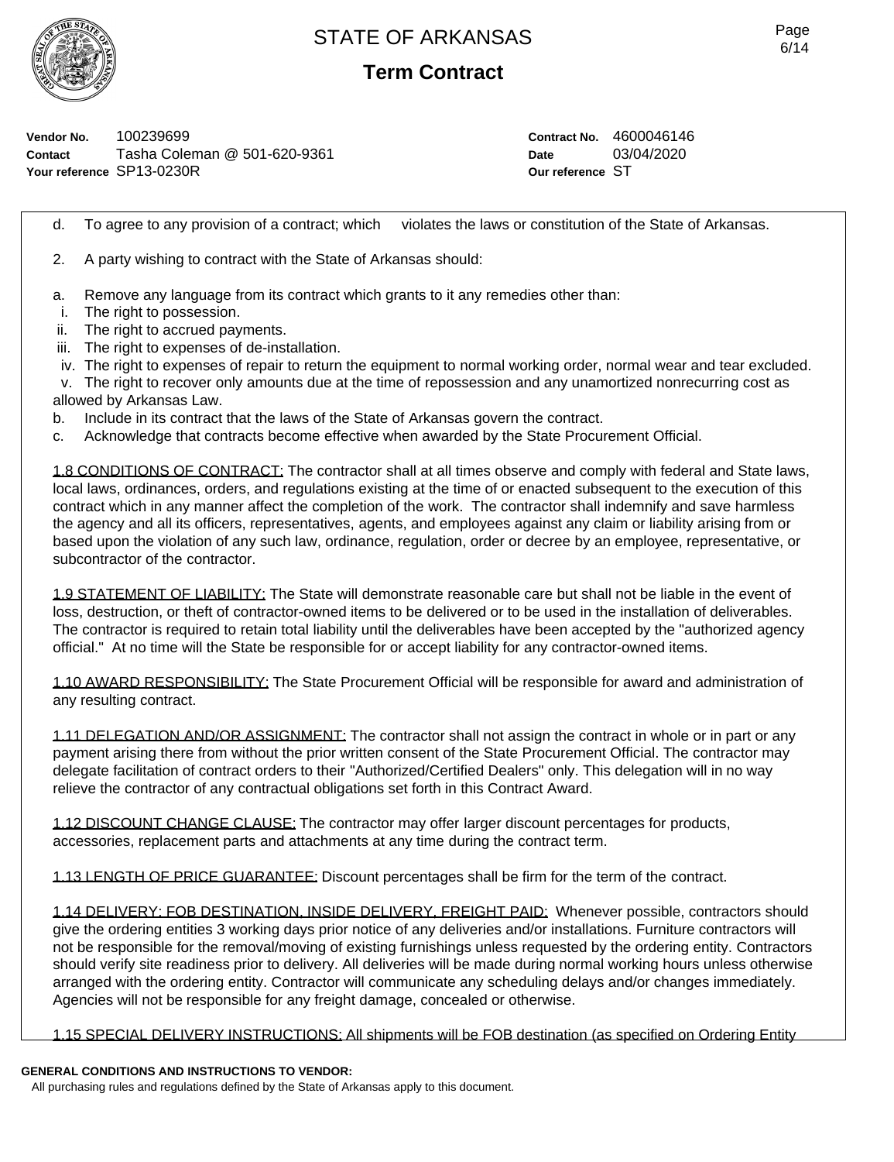

**Term Contract**

**Vendor No.** 100239699 **Contact** Tasha Coleman @ 501-620-9361 **Your reference** SP13-0230R

**Contract No.** 4600046146 **Date** 03/04/2020 **Our reference** ST

d. To agree to any provision of a contract; which violates the laws or constitution of the State of Arkansas.

2. A party wishing to contract with the State of Arkansas should:

- a. Remove any language from its contract which grants to it any remedies other than:
- i. The right to possession.
- ii. The right to accrued payments.
- iii. The right to expenses of de-installation.
- iv. The right to expenses of repair to return the equipment to normal working order, normal wear and tear excluded.
- v. The right to recover only amounts due at the time of repossession and any unamortized nonrecurring cost as allowed by Arkansas Law.
- b. Include in its contract that the laws of the State of Arkansas govern the contract.
- c. Acknowledge that contracts become effective when awarded by the State Procurement Official.

1.8 CONDITIONS OF CONTRACT: The contractor shall at all times observe and comply with federal and State laws, local laws, ordinances, orders, and regulations existing at the time of or enacted subsequent to the execution of this contract which in any manner affect the completion of the work. The contractor shall indemnify and save harmless the agency and all its officers, representatives, agents, and employees against any claim or liability arising from or based upon the violation of any such law, ordinance, regulation, order or decree by an employee, representative, or subcontractor of the contractor.

1.9 STATEMENT OF LIABILITY: The State will demonstrate reasonable care but shall not be liable in the event of loss, destruction, or theft of contractor-owned items to be delivered or to be used in the installation of deliverables. The contractor is required to retain total liability until the deliverables have been accepted by the "authorized agency official." At no time will the State be responsible for or accept liability for any contractor-owned items.

1.10 AWARD RESPONSIBILITY: The State Procurement Official will be responsible for award and administration of any resulting contract.

1.11 DELEGATION AND/OR ASSIGNMENT: The contractor shall not assign the contract in whole or in part or any payment arising there from without the prior written consent of the State Procurement Official. The contractor may delegate facilitation of contract orders to their "Authorized/Certified Dealers" only. This delegation will in no way relieve the contractor of any contractual obligations set forth in this Contract Award.

1.12 DISCOUNT CHANGE CLAUSE: The contractor may offer larger discount percentages for products, accessories, replacement parts and attachments at any time during the contract term.

1.13 LENGTH OF PRICE GUARANTEE: Discount percentages shall be firm for the term of the contract.

1.14 DELIVERY: FOB DESTINATION, INSIDE DELIVERY, FREIGHT PAID: Whenever possible, contractors should give the ordering entities 3 working days prior notice of any deliveries and/or installations. Furniture contractors will not be responsible for the removal/moving of existing furnishings unless requested by the ordering entity. Contractors should verify site readiness prior to delivery. All deliveries will be made during normal working hours unless otherwise arranged with the ordering entity. Contractor will communicate any scheduling delays and/or changes immediately. Agencies will not be responsible for any freight damage, concealed or otherwise.

1.15 SPECIAL DELIVERY INSTRUCTIONS: All shipments will be FOB destination (as specified on Ordering Entity

#### **GENERAL CONDITIONS AND INSTRUCTIONS TO VENDOR:**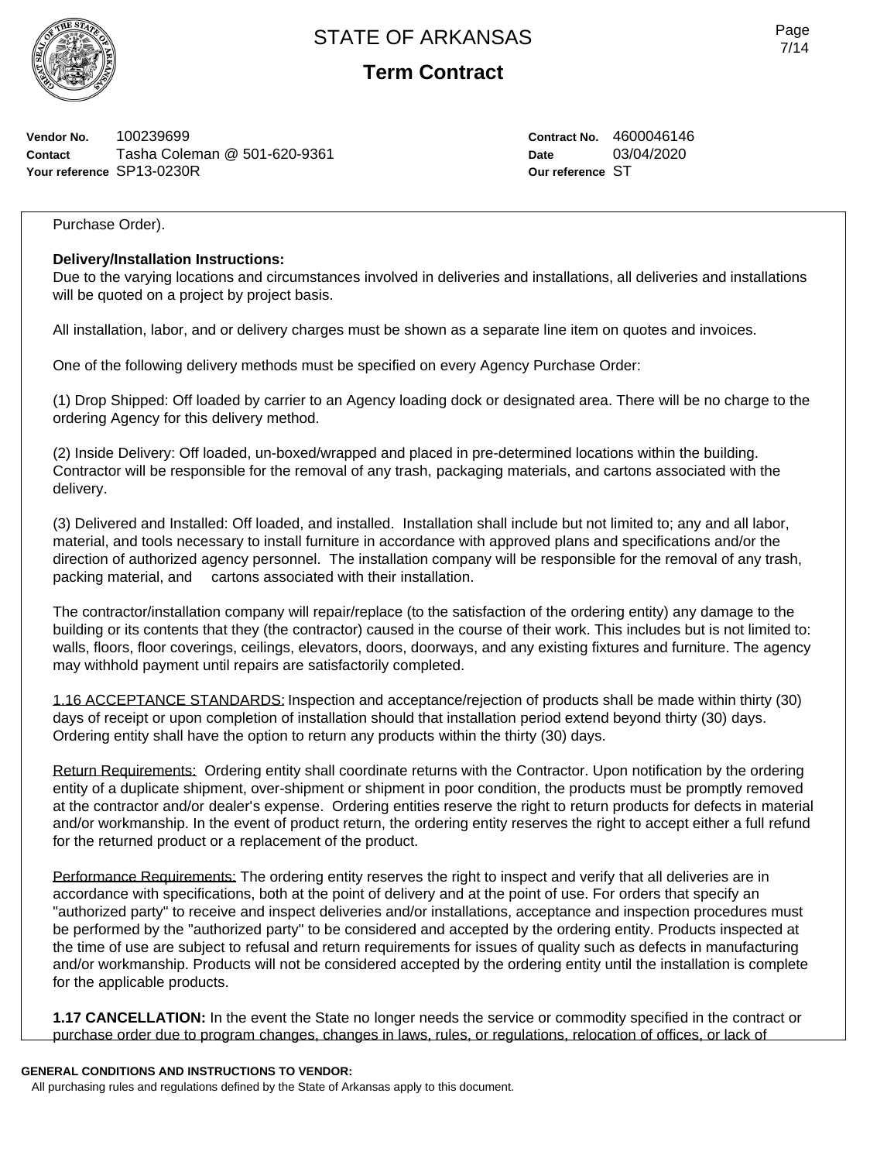

## **Term Contract**

**Vendor No.** 100239699 **Contact** Tasha Coleman @ 501-620-9361 **Your reference** SP13-0230R

**Contract No.** 4600046146 **Date** 03/04/2020 **Our reference** ST

Purchase Order).

#### **Delivery/Installation Instructions:**

Due to the varying locations and circumstances involved in deliveries and installations, all deliveries and installations will be quoted on a project by project basis.

All installation, labor, and or delivery charges must be shown as a separate line item on quotes and invoices.

One of the following delivery methods must be specified on every Agency Purchase Order:

(1) Drop Shipped: Off loaded by carrier to an Agency loading dock or designated area. There will be no charge to the ordering Agency for this delivery method.

(2) Inside Delivery: Off loaded, un-boxed/wrapped and placed in pre-determined locations within the building. Contractor will be responsible for the removal of any trash, packaging materials, and cartons associated with the delivery.

(3) Delivered and Installed: Off loaded, and installed. Installation shall include but not limited to; any and all labor, material, and tools necessary to install furniture in accordance with approved plans and specifications and/or the direction of authorized agency personnel. The installation company will be responsible for the removal of any trash, packing material, and cartons associated with their installation.

The contractor/installation company will repair/replace (to the satisfaction of the ordering entity) any damage to the building or its contents that they (the contractor) caused in the course of their work. This includes but is not limited to: walls, floors, floor coverings, ceilings, elevators, doors, doorways, and any existing fixtures and furniture. The agency may withhold payment until repairs are satisfactorily completed.

1.16 ACCEPTANCE STANDARDS: Inspection and acceptance/rejection of products shall be made within thirty (30) days of receipt or upon completion of installation should that installation period extend beyond thirty (30) days. Ordering entity shall have the option to return any products within the thirty (30) days.

Return Requirements: Ordering entity shall coordinate returns with the Contractor. Upon notification by the ordering entity of a duplicate shipment, over-shipment or shipment in poor condition, the products must be promptly removed at the contractor and/or dealer's expense. Ordering entities reserve the right to return products for defects in material and/or workmanship. In the event of product return, the ordering entity reserves the right to accept either a full refund for the returned product or a replacement of the product.

Performance Requirements: The ordering entity reserves the right to inspect and verify that all deliveries are in accordance with specifications, both at the point of delivery and at the point of use. For orders that specify an "authorized party" to receive and inspect deliveries and/or installations, acceptance and inspection procedures must be performed by the "authorized party" to be considered and accepted by the ordering entity. Products inspected at the time of use are subject to refusal and return requirements for issues of quality such as defects in manufacturing and/or workmanship. Products will not be considered accepted by the ordering entity until the installation is complete for the applicable products.

**1.17 CANCELLATION:** In the event the State no longer needs the service or commodity specified in the contract or purchase order due to program changes, changes in laws, rules, or regulations, relocation of offices, or lack of

#### **GENERAL CONDITIONS AND INSTRUCTIONS TO VENDOR:**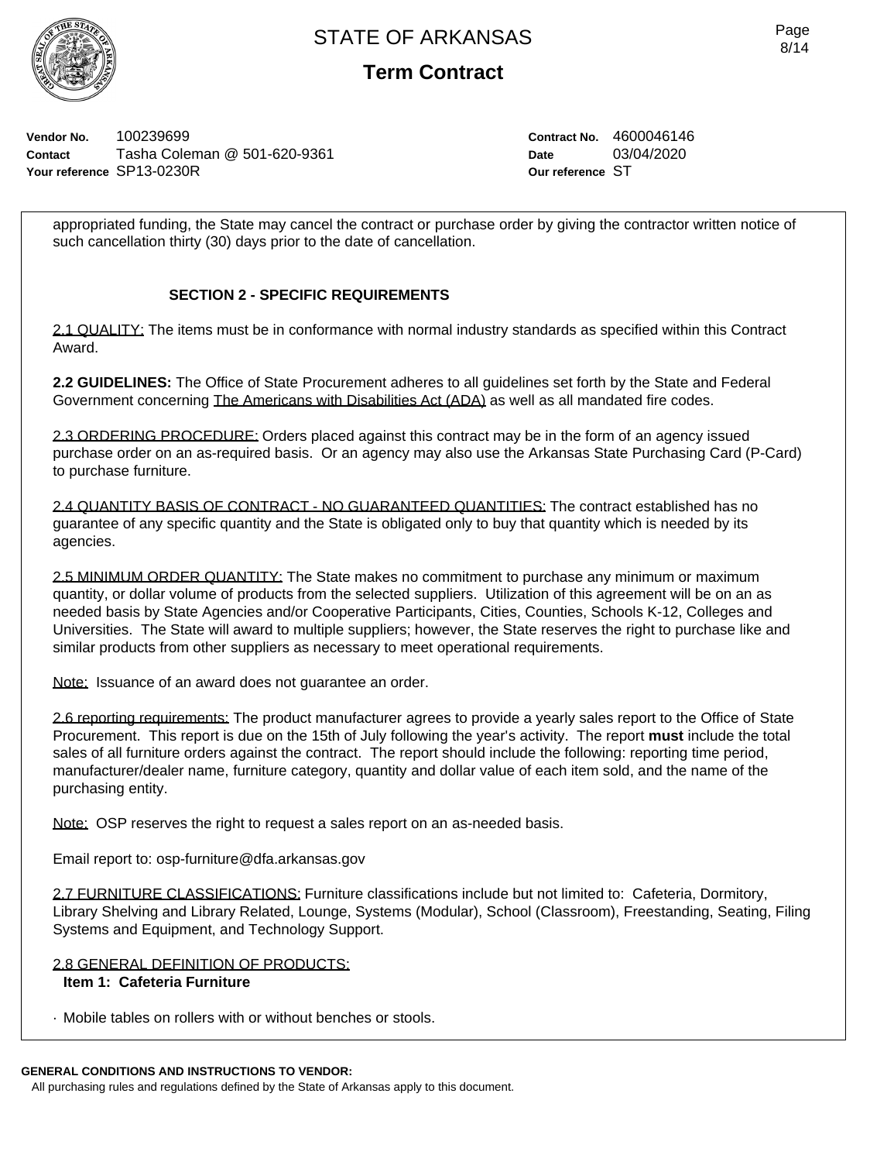

## **Term Contract**

**Vendor No.** 100239699 **Contact** Tasha Coleman @ 501-620-9361 **Your reference** SP13-0230R

**Contract No.** 4600046146 **Date** 03/04/2020 **Our reference** ST

appropriated funding, the State may cancel the contract or purchase order by giving the contractor written notice of such cancellation thirty (30) days prior to the date of cancellation.

### **SECTION 2 - SPECIFIC REQUIREMENTS**

2.1 QUALITY: The items must be in conformance with normal industry standards as specified within this Contract Award.

**2.2 GUIDELINES:** The Office of State Procurement adheres to all guidelines set forth by the State and Federal Government concerning The Americans with Disabilities Act (ADA) as well as all mandated fire codes.

2.3 ORDERING PROCEDURE: Orders placed against this contract may be in the form of an agency issued purchase order on an as-required basis. Or an agency may also use the Arkansas State Purchasing Card (P-Card) to purchase furniture.

2.4 QUANTITY BASIS OF CONTRACT - NO GUARANTEED QUANTITIES: The contract established has no guarantee of any specific quantity and the State is obligated only to buy that quantity which is needed by its agencies.

2.5 MINIMUM ORDER QUANTITY: The State makes no commitment to purchase any minimum or maximum quantity, or dollar volume of products from the selected suppliers. Utilization of this agreement will be on an as needed basis by State Agencies and/or Cooperative Participants, Cities, Counties, Schools K-12, Colleges and Universities. The State will award to multiple suppliers; however, the State reserves the right to purchase like and similar products from other suppliers as necessary to meet operational requirements.

Note: Issuance of an award does not guarantee an order.

2.6 reporting requirements: The product manufacturer agrees to provide a yearly sales report to the Office of State Procurement. This report is due on the 15th of July following the year's activity. The report **must** include the total sales of all furniture orders against the contract. The report should include the following: reporting time period, manufacturer/dealer name, furniture category, quantity and dollar value of each item sold, and the name of the purchasing entity.

Note: OSP reserves the right to request a sales report on an as-needed basis.

Email report to: osp-furniture@dfa.arkansas.gov

2.7 FURNITURE CLASSIFICATIONS: Furniture classifications include but not limited to: Cafeteria, Dormitory, Library Shelving and Library Related, Lounge, Systems (Modular), School (Classroom), Freestanding, Seating, Filing Systems and Equipment, and Technology Support.

### 2.8 GENERAL DEFINITION OF PRODUCTS:

### **Item 1: Cafeteria Furniture**

· Mobile tables on rollers with or without benches or stools.

### **GENERAL CONDITIONS AND INSTRUCTIONS TO VENDOR:**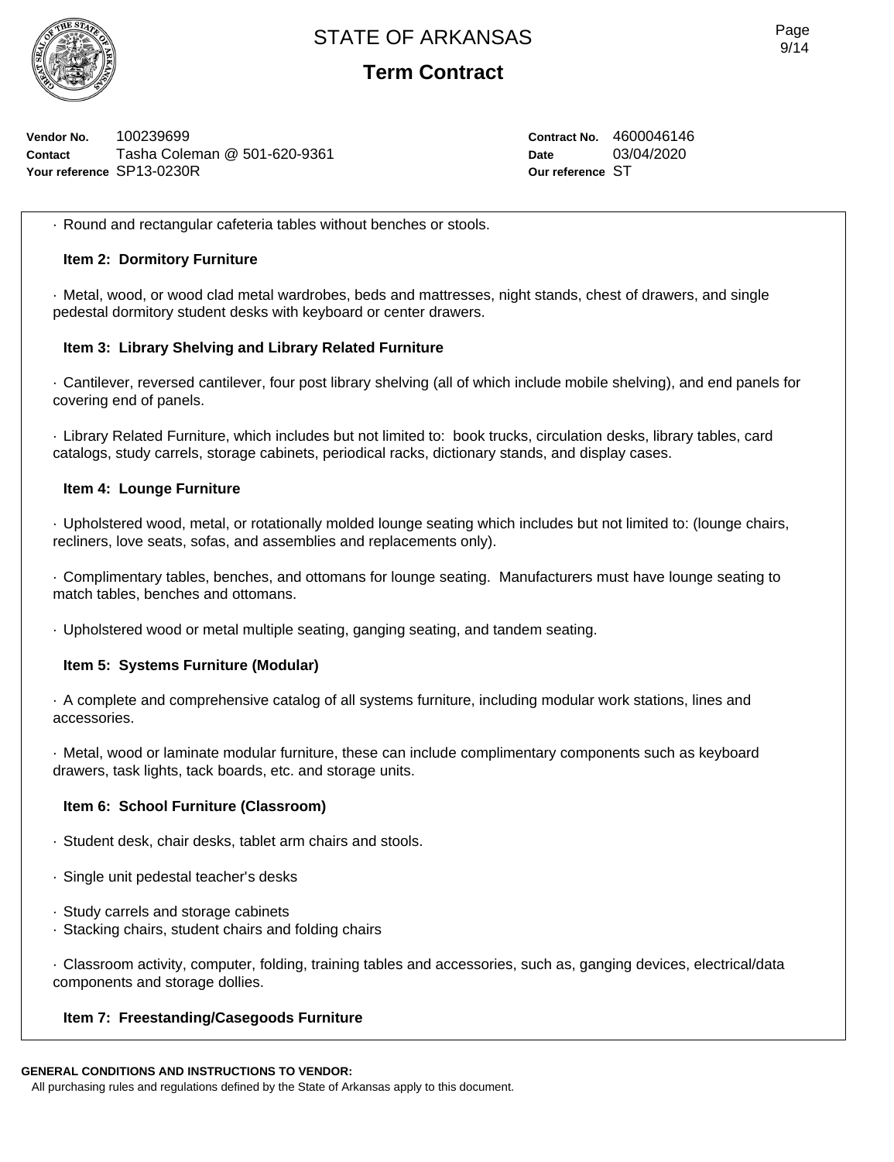

## **Term Contract**

**Vendor No.** 100239699 **Contact** Tasha Coleman @ 501-620-9361 **Your reference** SP13-0230R

**Contract No.** 4600046146 **Date** 03/04/2020 **Our reference** ST

· Round and rectangular cafeteria tables without benches or stools.

#### **Item 2: Dormitory Furniture**

· Metal, wood, or wood clad metal wardrobes, beds and mattresses, night stands, chest of drawers, and single pedestal dormitory student desks with keyboard or center drawers.

#### **Item 3: Library Shelving and Library Related Furniture**

· Cantilever, reversed cantilever, four post library shelving (all of which include mobile shelving), and end panels for covering end of panels.

· Library Related Furniture, which includes but not limited to: book trucks, circulation desks, library tables, card catalogs, study carrels, storage cabinets, periodical racks, dictionary stands, and display cases.

#### **Item 4: Lounge Furniture**

· Upholstered wood, metal, or rotationally molded lounge seating which includes but not limited to: (lounge chairs, recliners, love seats, sofas, and assemblies and replacements only).

· Complimentary tables, benches, and ottomans for lounge seating. Manufacturers must have lounge seating to match tables, benches and ottomans.

· Upholstered wood or metal multiple seating, ganging seating, and tandem seating.

### **Item 5: Systems Furniture (Modular)**

· A complete and comprehensive catalog of all systems furniture, including modular work stations, lines and accessories.

· Metal, wood or laminate modular furniture, these can include complimentary components such as keyboard drawers, task lights, tack boards, etc. and storage units.

#### **Item 6: School Furniture (Classroom)**

- · Student desk, chair desks, tablet arm chairs and stools.
- · Single unit pedestal teacher's desks
- · Study carrels and storage cabinets
- · Stacking chairs, student chairs and folding chairs

· Classroom activity, computer, folding, training tables and accessories, such as, ganging devices, electrical/data components and storage dollies.

### **Item 7: Freestanding/Casegoods Furniture**

### **GENERAL CONDITIONS AND INSTRUCTIONS TO VENDOR:**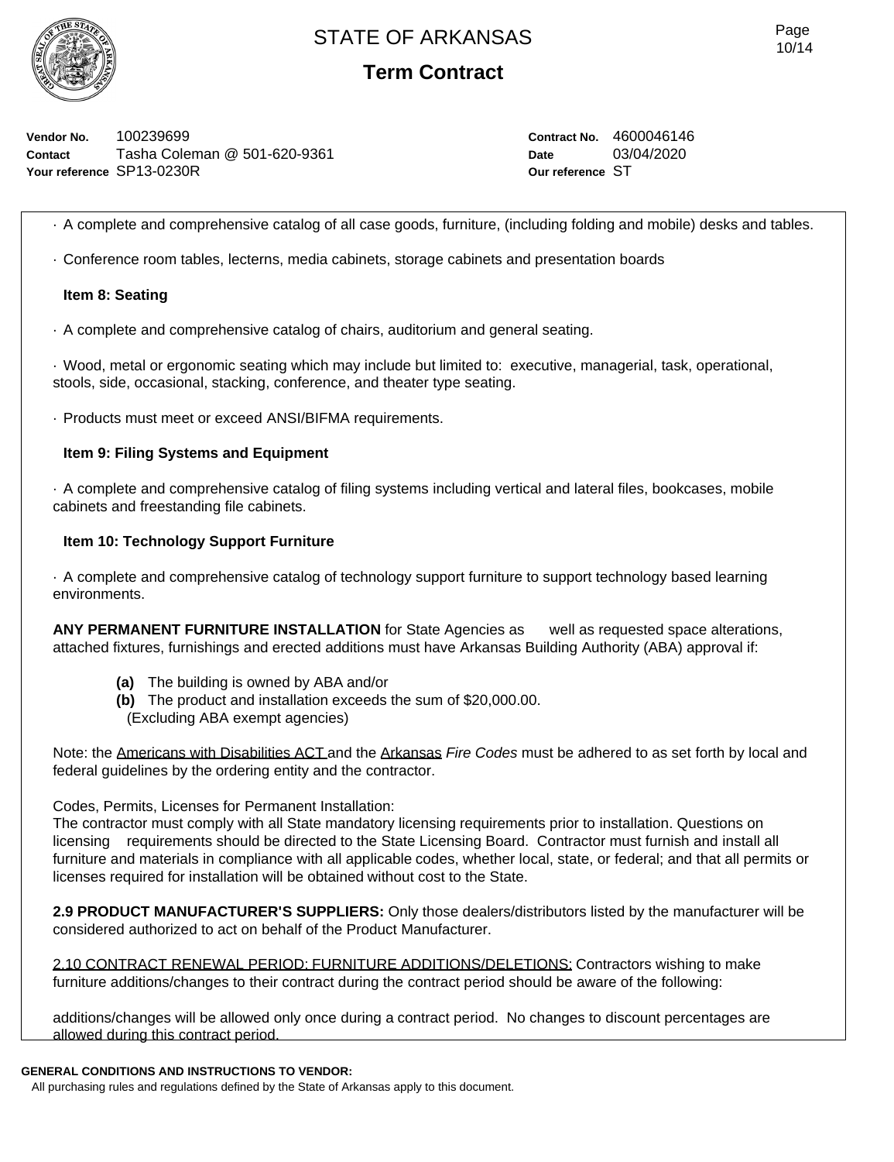

**Term Contract**

**Vendor No.** 100239699 **Contact** Tasha Coleman @ 501-620-9361 **Your reference** SP13-0230R

**Contract No.** 4600046146 **Date** 03/04/2020 **Our reference** ST

· A complete and comprehensive catalog of all case goods, furniture, (including folding and mobile) desks and tables.

· Conference room tables, lecterns, media cabinets, storage cabinets and presentation boards

#### **Item 8: Seating**

· A complete and comprehensive catalog of chairs, auditorium and general seating.

· Wood, metal or ergonomic seating which may include but limited to: executive, managerial, task, operational, stools, side, occasional, stacking, conference, and theater type seating.

· Products must meet or exceed ANSI/BIFMA requirements.

#### **Item 9: Filing Systems and Equipment**

· A complete and comprehensive catalog of filing systems including vertical and lateral files, bookcases, mobile cabinets and freestanding file cabinets.

#### **Item 10: Technology Support Furniture**

· A complete and comprehensive catalog of technology support furniture to support technology based learning environments.

**ANY PERMANENT FURNITURE INSTALLATION** for State Agencies as well as requested space alterations, attached fixtures, furnishings and erected additions must have Arkansas Building Authority (ABA) approval if:

- **(a)** The building is owned by ABA and/or
- **(b)** The product and installation exceeds the sum of \$20,000.00.
- (Excluding ABA exempt agencies)

Note: the Americans with Disabilities ACT and the Arkansas *Fire Codes* must be adhered to as set forth by local and federal guidelines by the ordering entity and the contractor.

#### Codes, Permits, Licenses for Permanent Installation:

The contractor must comply with all State mandatory licensing requirements prior to installation. Questions on licensing requirements should be directed to the State Licensing Board. Contractor must furnish and install all furniture and materials in compliance with all applicable codes, whether local, state, or federal; and that all permits or licenses required for installation will be obtained without cost to the State.

**2.9 PRODUCT MANUFACTURER'S SUPPLIERS:** Only those dealers/distributors listed by the manufacturer will be considered authorized to act on behalf of the Product Manufacturer.

2.10 CONTRACT RENEWAL PERIOD: FURNITURE ADDITIONS/DELETIONS: Contractors wishing to make furniture additions/changes to their contract during the contract period should be aware of the following:

additions/changes will be allowed only once during a contract period. No changes to discount percentages are allowed during this contract period.

#### **GENERAL CONDITIONS AND INSTRUCTIONS TO VENDOR:**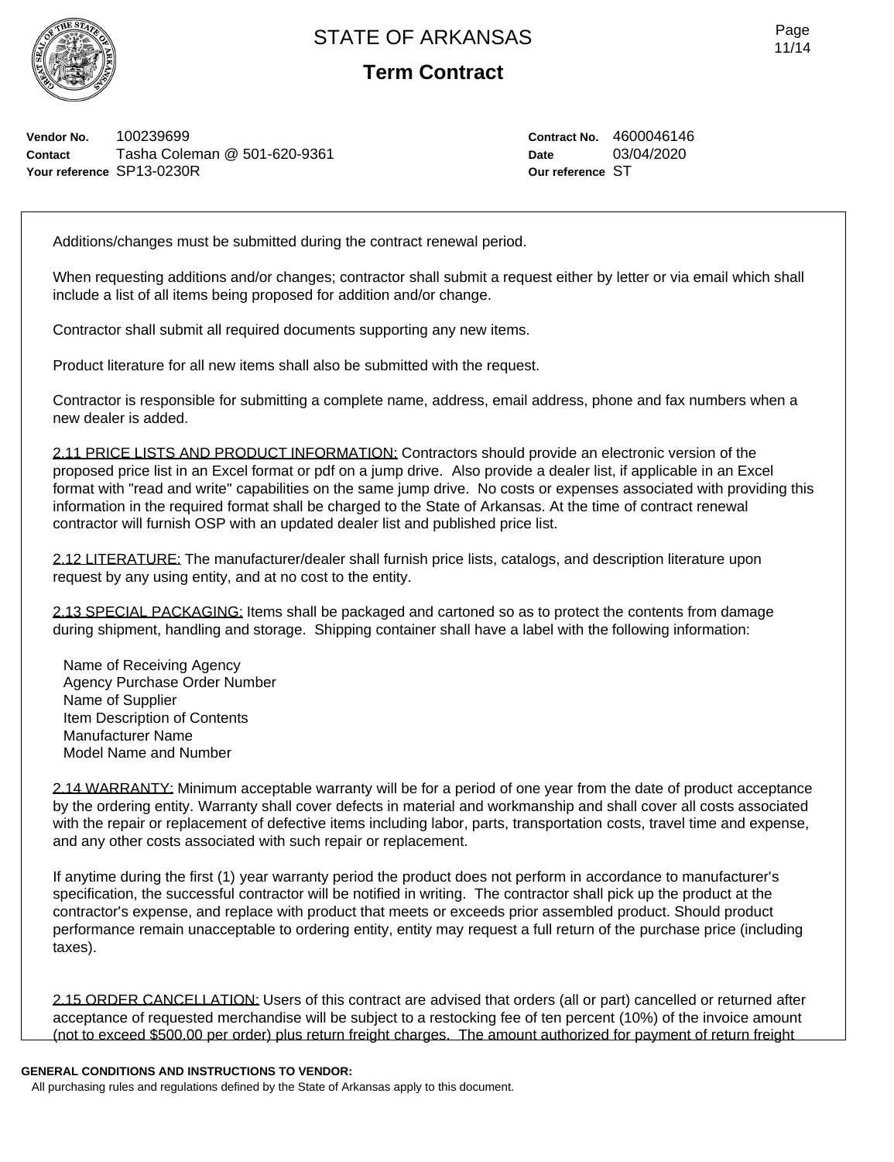

**Term Contract**

**Vendor No.** 100239699 **Contact** Tasha Coleman @ 501-620-9361 **Your reference** SP13-0230R

**Contract No.** 4600046146 **Date** 03/04/2020 **Our reference** ST

Additions/changes must be submitted during the contract renewal period.

When requesting additions and/or changes; contractor shall submit a request either by letter or via email which shall include a list of all items being proposed for addition and/or change.

Contractor shall submit all required documents supporting any new items.

Product literature for all new items shall also be submitted with the request.

Contractor is responsible for submitting a complete name, address, email address, phone and fax numbers when a new dealer is added.

2.11 PRICE LISTS AND PRODUCT INFORMATION: Contractors should provide an electronic version of the proposed price list in an Excel format or pdf on a jump drive. Also provide a dealer list, if applicable in an Excel format with "read and write" capabilities on the same jump drive. No costs or expenses associated with providing this information in the required format shall be charged to the State of Arkansas. At the time of contract renewal contractor will furnish OSP with an updated dealer list and published price list.

2.12 LITERATURE: The manufacturer/dealer shall furnish price lists, catalogs, and description literature upon request by any using entity, and at no cost to the entity.

2.13 SPECIAL PACKAGING: Items shall be packaged and cartoned so as to protect the contents from damage during shipment, handling and storage. Shipping container shall have a label with the following information:

Name of Receiving Agency Agency Purchase Order Number Name of Supplier Item Description of Contents Manufacturer Name Model Name and Number

2.14 WARRANTY: Minimum acceptable warranty will be for a period of one year from the date of product acceptance by the ordering entity. Warranty shall cover defects in material and workmanship and shall cover all costs associated with the repair or replacement of defective items including labor, parts, transportation costs, travel time and expense, and any other costs associated with such repair or replacement.

If anytime during the first (1) year warranty period the product does not perform in accordance to manufacturer's specification, the successful contractor will be notified in writing. The contractor shall pick up the product at the contractor's expense, and replace with product that meets or exceeds prior assembled product. Should product performance remain unacceptable to ordering entity, entity may request a full return of the purchase price (including taxes).

2.15 ORDER CANCELLATION: Users of this contract are advised that orders (all or part) cancelled or returned after acceptance of requested merchandise will be subject to a restocking fee of ten percent (10%) of the invoice amount (not to exceed \$500.00 per order) plus return freight charges. The amount authorized for payment of return freight

#### **GENERAL CONDITIONS AND INSTRUCTIONS TO VENDOR:**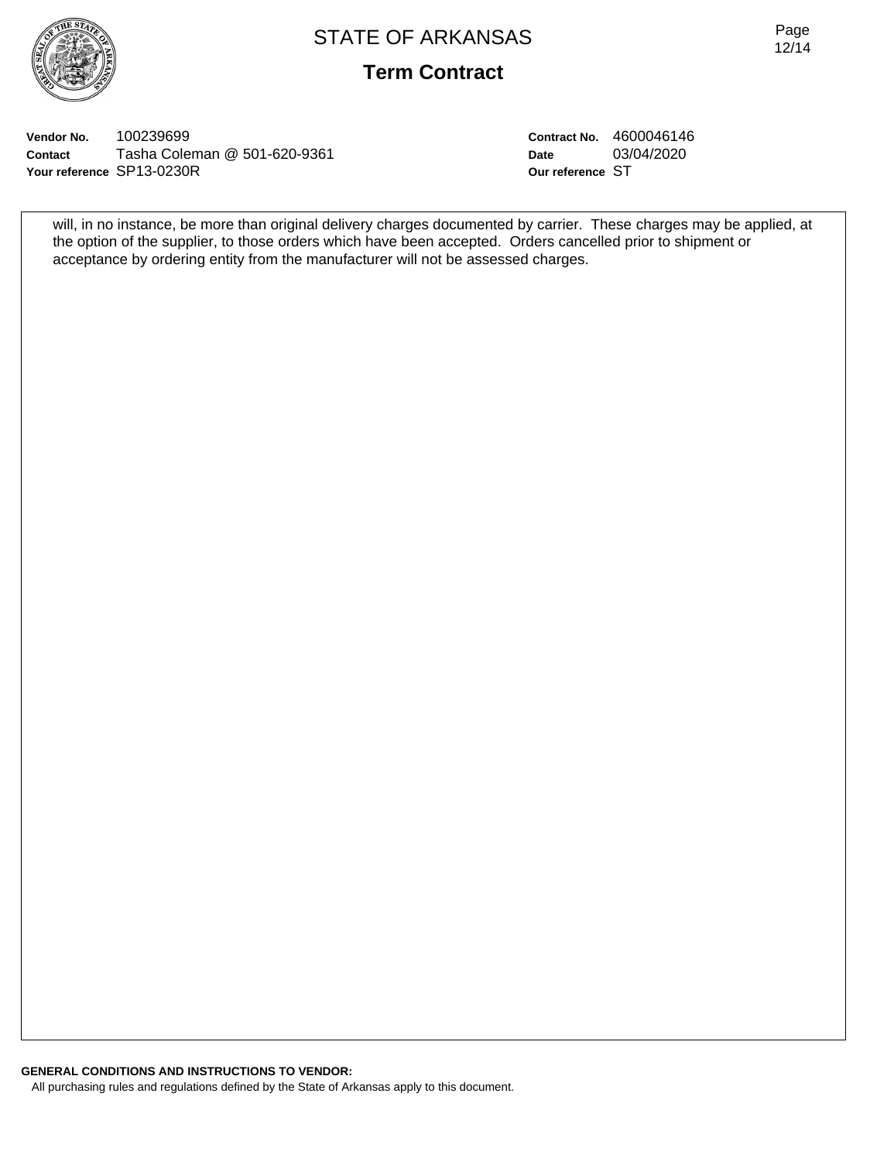

**Term Contract**

**Vendor No.** 100239699 **Contact** Tasha Coleman @ 501-620-9361 **Your reference** SP13-0230R

**Contract No.** 4600046146 **Date** 03/04/2020 **Our reference** ST

will, in no instance, be more than original delivery charges documented by carrier. These charges may be applied, at the option of the supplier, to those orders which have been accepted. Orders cancelled prior to shipment or acceptance by ordering entity from the manufacturer will not be assessed charges.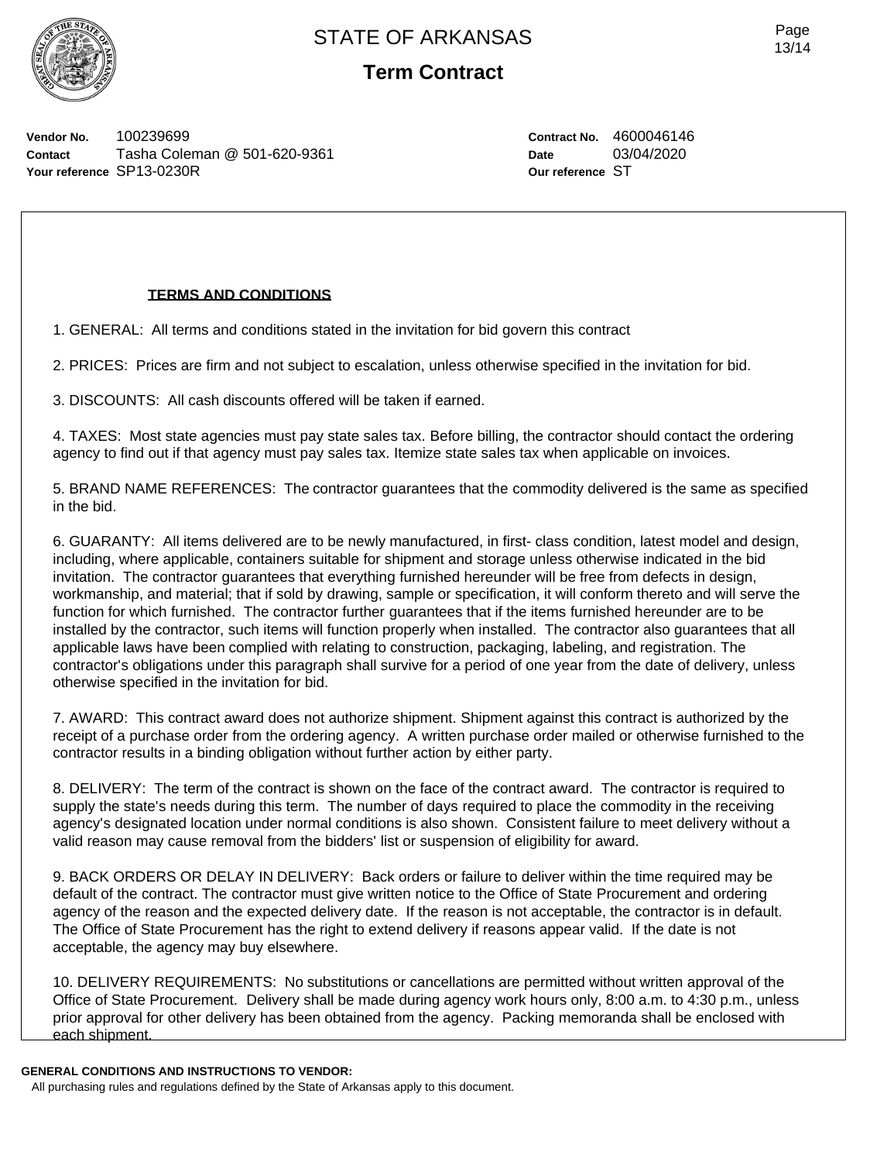

**Term Contract**

**Vendor No.** 100239699 **Contact** Tasha Coleman @ 501-620-9361 **Your reference** SP13-0230R

**Contract No.** 4600046146 **Date** 03/04/2020 **Our reference** ST

#### **TERMS AND CONDITIONS**

1. GENERAL: All terms and conditions stated in the invitation for bid govern this contract

2. PRICES: Prices are firm and not subject to escalation, unless otherwise specified in the invitation for bid.

3. DISCOUNTS: All cash discounts offered will be taken if earned.

4. TAXES: Most state agencies must pay state sales tax. Before billing, the contractor should contact the ordering agency to find out if that agency must pay sales tax. Itemize state sales tax when applicable on invoices.

5. BRAND NAME REFERENCES: The contractor guarantees that the commodity delivered is the same as specified in the bid.

6. GUARANTY: All items delivered are to be newly manufactured, in first- class condition, latest model and design, including, where applicable, containers suitable for shipment and storage unless otherwise indicated in the bid invitation. The contractor guarantees that everything furnished hereunder will be free from defects in design, workmanship, and material; that if sold by drawing, sample or specification, it will conform thereto and will serve the function for which furnished. The contractor further guarantees that if the items furnished hereunder are to be installed by the contractor, such items will function properly when installed. The contractor also guarantees that all applicable laws have been complied with relating to construction, packaging, labeling, and registration. The contractor's obligations under this paragraph shall survive for a period of one year from the date of delivery, unless otherwise specified in the invitation for bid.

7. AWARD: This contract award does not authorize shipment. Shipment against this contract is authorized by the receipt of a purchase order from the ordering agency. A written purchase order mailed or otherwise furnished to the contractor results in a binding obligation without further action by either party.

8. DELIVERY: The term of the contract is shown on the face of the contract award. The contractor is required to supply the state's needs during this term. The number of days required to place the commodity in the receiving agency's designated location under normal conditions is also shown. Consistent failure to meet delivery without a valid reason may cause removal from the bidders' list or suspension of eligibility for award.

9. BACK ORDERS OR DELAY IN DELIVERY: Back orders or failure to deliver within the time required may be default of the contract. The contractor must give written notice to the Office of State Procurement and ordering agency of the reason and the expected delivery date. If the reason is not acceptable, the contractor is in default. The Office of State Procurement has the right to extend delivery if reasons appear valid. If the date is not acceptable, the agency may buy elsewhere.

10. DELIVERY REQUIREMENTS: No substitutions or cancellations are permitted without written approval of the Office of State Procurement. Delivery shall be made during agency work hours only, 8:00 a.m. to 4:30 p.m., unless prior approval for other delivery has been obtained from the agency. Packing memoranda shall be enclosed with each shipment.

#### **GENERAL CONDITIONS AND INSTRUCTIONS TO VENDOR:**